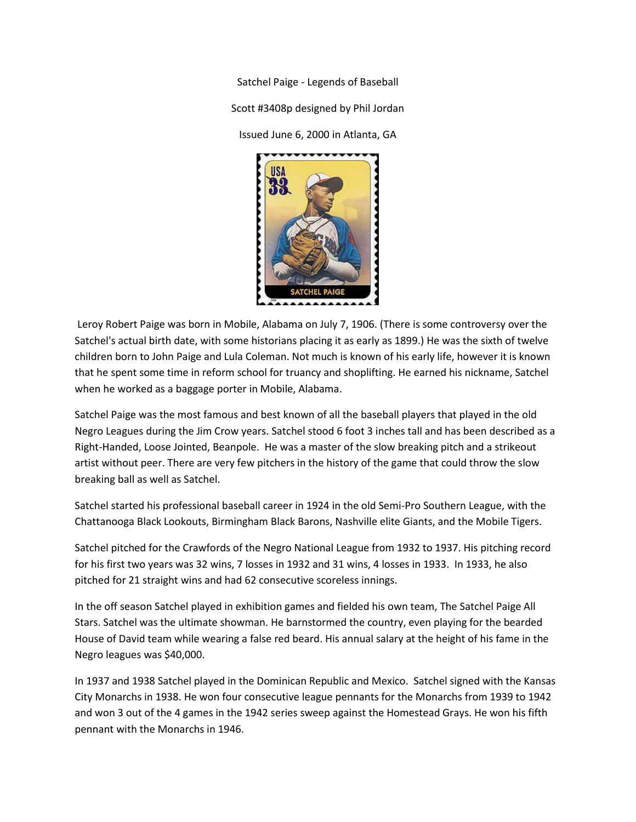Satchel Paige - Legends of Baseball Scott #3408p designed by Phil Jordan Issued June 6, 2000 in Atlanta, GA



Leroy Robert Paige was born in Mobile, Alabama on July 7, 1906. (There is some controversy over the Satchel's actual birth date, with some historians placing it as early as 1899.) He was the sixth of twelve children born to John Paige and Lula Coleman. Not much is known of his early life, however it is known that he spent some time in reform school for truancy and shoplifting. He earned his nickname, Satchel when he worked as a baggage porter in Mobile, Alabama.

Satchel Paige was the most famous and best known of all the baseball players that played in the old Negro Leagues during the Jim Crow years. Satchel stood 6 foot 3 inches tall and has been described as a Right-Handed, Loose Jointed, Beanpole. He was a master of the slow breaking pitch and a strikeout artist without peer. There are very few pitchers in the history of the game that could throw the slow breaking ball as well as Satchel.

Satchel started his professional baseball career in 1924 in the old Semi-Pro Southern League, with the Chattanooga Black Lookouts, Birmingham Black Barons, Nashville elite Giants, and the Mobile Tigers.

Satchel pitched for the Crawfords of the Negro National League from 1932 to 1937. His pitching record for his first two years was 32 wins, 7 losses in 1932 and 31 wins, 4 losses in 1933. In 1933, he also pitched for 21 straight wins and had 62 consecutive scoreless innings.

In the off season Satchel played in exhibition games and fielded his own team, The Satchel Paige All Stars. Satchel was the ultimate showman. He barnstormed the country, even playing for the bearded House of David team while wearing a false red beard. His annual salary at the height of his fame in the Negro leagues was \$40,000.

In 1937 and 1938 Satchel played in the Dominican Republic and Mexico. Satchel signed with the Kansas City Monarchs in 1938. He won four consecutive league pennants for the Monarchs from 1939 to 1942 and won 3 out of the 4 games in the 1942 series sweep against the Homestead Grays. He won his fifth pennant with the Monarchs in 1946.